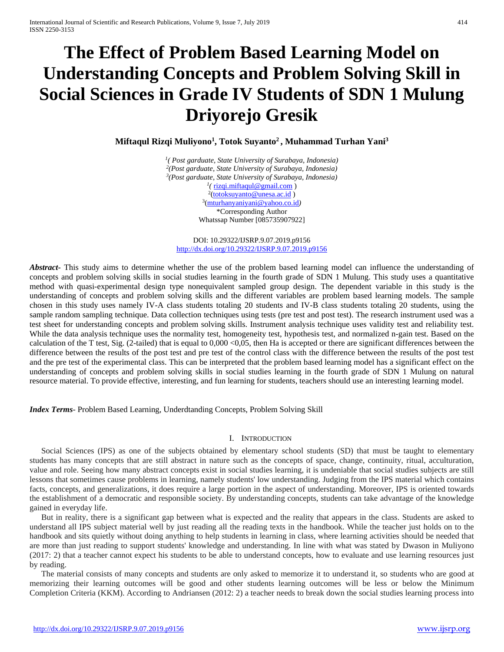# **The Effect of Problem Based Learning Model on Understanding Concepts and Problem Solving Skill in Social Sciences in Grade IV Students of SDN 1 Mulung Driyorejo Gresik**

**Miftaqul Rizqi Muliyono1 , Totok Suyanto2 , Muhammad Turhan Yani3**

*1( Post garduate, State University of Surabaya, Indonesia) 2(Post garduate, State University of Surabaya, Indonesia) 3(Post garduate, State University of Surabaya, Indonesia) 1(* [rizqi.miftaqul@gmail.com](mailto:rizqi.miftaqul@gmail.com) ) <sup>2</sup>[\(totoksuyanto@unesa.ac.id](mailto:totoksuyanto@unesa.ac.id)) 3[\(mturhanyaniyani@yahoo.co.id](mailto:mturhanyaniyani@yahoo.co.id)*)* \*Corresponding Author Whatssap Number [085735907922]

DOI: 10.29322/IJSRP.9.07.2019.p9156 <http://dx.doi.org/10.29322/IJSRP.9.07.2019.p9156>

*Abstract***-** This study aims to determine whether the use of the problem based learning model can influence the understanding of concepts and problem solving skills in social studies learning in the fourth grade of SDN 1 Mulung. This study uses a quantitative method with quasi-experimental design type nonequivalent sampled group design. The dependent variable in this study is the understanding of concepts and problem solving skills and the different variables are problem based learning models. The sample chosen in this study uses namely IV-A class students totaling 20 students and IV-B class students totaling 20 students, using the sample random sampling technique. Data collection techniques using tests (pre test and post test). The research instrument used was a test sheet for understanding concepts and problem solving skills. Instrument analysis technique uses validity test and reliability test. While the data analysis technique uses the normality test, homogeneity test, hypothesis test, and normalized n-gain test. Based on the calculation of the T test, Sig. (2-tailed) that is equal to 0,000 <0,05, then Ha is accepted or there are significant differences between the difference between the results of the post test and pre test of the control class with the difference between the results of the post test and the pre test of the experimental class. This can be interpreted that the problem based learning model has a significant effect on the understanding of concepts and problem solving skills in social studies learning in the fourth grade of SDN 1 Mulung on natural resource material. To provide effective, interesting, and fun learning for students, teachers should use an interesting learning model.

*Index Terms*- Problem Based Learning, Underdtanding Concepts, Problem Solving Skill

### I. INTRODUCTION

Social Sciences (IPS) as one of the subjects obtained by elementary school students (SD) that must be taught to elementary students has many concepts that are still abstract in nature such as the concepts of space, change, continuity, ritual, acculturation, value and role. Seeing how many abstract concepts exist in social studies learning, it is undeniable that social studies subjects are still lessons that sometimes cause problems in learning, namely students' low understanding. Judging from the IPS material which contains facts, concepts, and generalizations, it does require a large portion in the aspect of understanding. Moreover, IPS is oriented towards the establishment of a democratic and responsible society. By understanding concepts, students can take advantage of the knowledge gained in everyday life.

But in reality, there is a significant gap between what is expected and the reality that appears in the class. Students are asked to understand all IPS subject material well by just reading all the reading texts in the handbook. While the teacher just holds on to the handbook and sits quietly without doing anything to help students in learning in class, where learning activities should be needed that are more than just reading to support students' knowledge and understanding. In line with what was stated by Dwason in Muliyono (2017: 2) that a teacher cannot expect his students to be able to understand concepts, how to evaluate and use learning resources just by reading.

The material consists of many concepts and students are only asked to memorize it to understand it, so students who are good at memorizing their learning outcomes will be good and other students learning outcomes will be less or below the Minimum Completion Criteria (KKM). According to Andriansen (2012: 2) a teacher needs to break down the social studies learning process into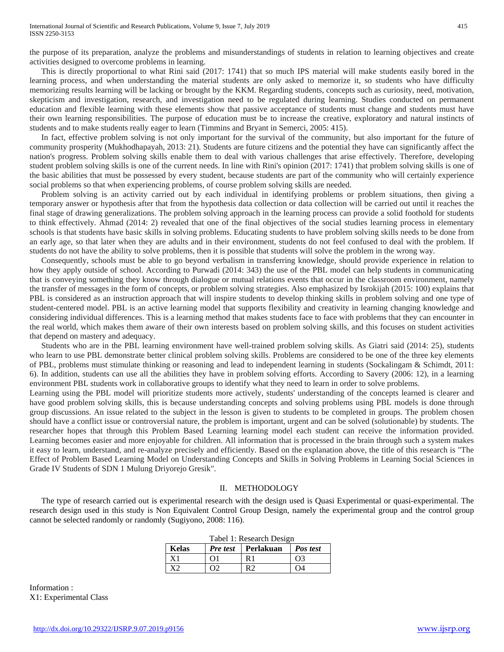the purpose of its preparation, analyze the problems and misunderstandings of students in relation to learning objectives and create activities designed to overcome problems in learning.

This is directly proportional to what Rini said (2017: 1741) that so much IPS material will make students easily bored in the learning process, and when understanding the material students are only asked to memorize it, so students who have difficulty memorizing results learning will be lacking or brought by the KKM. Regarding students, concepts such as curiosity, need, motivation, skepticism and investigation, research, and investigation need to be regulated during learning. Studies conducted on permanent education and flexible learning with these elements show that passive acceptance of students must change and students must have their own learning responsibilities. The purpose of education must be to increase the creative, exploratory and natural instincts of students and to make students really eager to learn (Timmins and Bryant in Semerci, 2005: 415).

In fact, effective problem solving is not only important for the survival of the community, but also important for the future of community prosperity (Mukhodhapayah, 2013: 21). Students are future citizens and the potential they have can significantly affect the nation's progress. Problem solving skills enable them to deal with various challenges that arise effectively. Therefore, developing student problem solving skills is one of the current needs. In line with Rini's opinion (2017: 1741) that problem solving skills is one of the basic abilities that must be possessed by every student, because students are part of the community who will certainly experience social problems so that when experiencing problems, of course problem solving skills are needed.

Problem solving is an activity carried out by each individual in identifying problems or problem situations, then giving a temporary answer or hypothesis after that from the hypothesis data collection or data collection will be carried out until it reaches the final stage of drawing generalizations. The problem solving approach in the learning process can provide a solid foothold for students to think effectively. Ahmad (2014: 2) revealed that one of the final objectives of the social studies learning process in elementary schools is that students have basic skills in solving problems. Educating students to have problem solving skills needs to be done from an early age, so that later when they are adults and in their environment, students do not feel confused to deal with the problem. If students do not have the ability to solve problems, then it is possible that students will solve the problem in the wrong way.

Consequently, schools must be able to go beyond verbalism in transferring knowledge, should provide experience in relation to how they apply outside of school. According to Purwadi (2014: 343) the use of the PBL model can help students in communicating that is conveying something they know through dialogue or mutual relations events that occur in the classroom environment, namely the transfer of messages in the form of concepts, or problem solving strategies. Also emphasized by Isrokijah (2015: 100) explains that PBL is considered as an instruction approach that will inspire students to develop thinking skills in problem solving and one type of student-centered model. PBL is an active learning model that supports flexibility and creativity in learning changing knowledge and considering individual differences. This is a learning method that makes students face to face with problems that they can encounter in the real world, which makes them aware of their own interests based on problem solving skills, and this focuses on student activities that depend on mastery and adequacy.

Students who are in the PBL learning environment have well-trained problem solving skills. As Giatri said (2014: 25), students who learn to use PBL demonstrate better clinical problem solving skills. Problems are considered to be one of the three key elements of PBL, problems must stimulate thinking or reasoning and lead to independent learning in students (Sockalingam & Schimdt, 2011: 6). In addition, students can use all the abilities they have in problem solving efforts. According to Savery (2006: 12), in a learning environment PBL students work in collaborative groups to identify what they need to learn in order to solve problems.

Learning using the PBL model will prioritize students more actively, students' understanding of the concepts learned is clearer and have good problem solving skills, this is because understanding concepts and solving problems using PBL models is done through group discussions. An issue related to the subject in the lesson is given to students to be completed in groups. The problem chosen should have a conflict issue or controversial nature, the problem is important, urgent and can be solved (solutionable) by students. The researcher hopes that through this Problem Based Learning learning model each student can receive the information provided. Learning becomes easier and more enjoyable for children. All information that is processed in the brain through such a system makes it easy to learn, understand, and re-analyze precisely and efficiently. Based on the explanation above, the title of this research is "The Effect of Problem Based Learning Model on Understanding Concepts and Skills in Solving Problems in Learning Social Sciences in Grade IV Students of SDN 1 Mulung Driyorejo Gresik".

### II. METHODOLOGY

The type of research carried out is experimental research with the design used is Quasi Experimental or quasi-experimental. The research design used in this study is Non Equivalent Control Group Design, namely the experimental group and the control group cannot be selected randomly or randomly (Sugiyono, 2008: 116).

|       |          | Tabel 1: Research Design  |          |
|-------|----------|---------------------------|----------|
| Kelas |          | <i>Pre test</i> Perlakuan | Pos test |
| X1    | $\Omega$ | R1                        | OЗ       |
| X2    | $\Omega$ | RЭ                        | O4       |

Information : X1: Experimental Class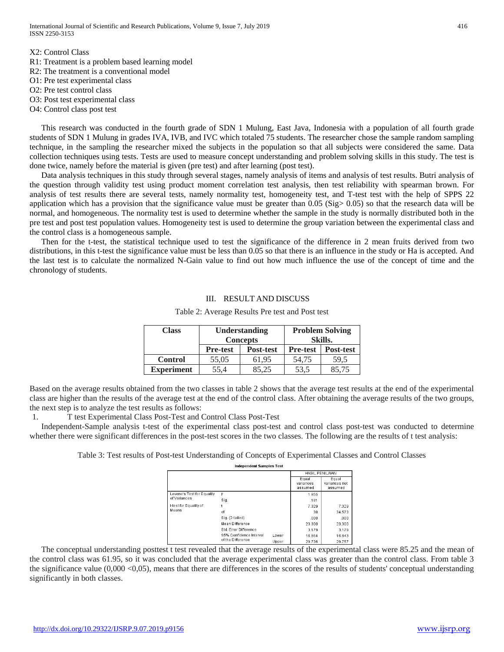X2: Control Class R1: Treatment is a problem based learning model R2: The treatment is a conventional model O1: Pre test experimental class O2: Pre test control class O3: Post test experimental class

O4: Control class post test

This research was conducted in the fourth grade of SDN 1 Mulung, East Java, Indonesia with a population of all fourth grade students of SDN 1 Mulung in grades IVA, IVB, and IVC which totaled 75 students. The researcher chose the sample random sampling technique, in the sampling the researcher mixed the subjects in the population so that all subjects were considered the same. Data collection techniques using tests. Tests are used to measure concept understanding and problem solving skills in this study. The test is done twice, namely before the material is given (pre test) and after learning (post test).

Data analysis techniques in this study through several stages, namely analysis of items and analysis of test results. Butri analysis of the question through validity test using product moment correlation test analysis, then test reliability with spearman brown. For analysis of test results there are several tests, namely normality test, homogeneity test, and T-test test with the help of SPPS 22 application which has a provision that the significance value must be greater than 0.05 (Sig> 0.05) so that the research data will be normal, and homogeneous. The normality test is used to determine whether the sample in the study is normally distributed both in the pre test and post test population values. Homogeneity test is used to determine the group variation between the experimental class and the control class is a homogeneous sample.

Then for the t-test, the statistical technique used to test the significance of the difference in 2 mean fruits derived from two distributions, in this t-test the significance value must be less than 0.05 so that there is an influence in the study or Ha is accepted. And the last test is to calculate the normalized N-Gain value to find out how much influence the use of the concept of time and the chronology of students.

## III. RESULT AND DISCUSS

| <b>Class</b>      |                 | <b>Understanding</b><br><b>Concepts</b> |                 | <b>Problem Solving</b><br><b>Skills.</b> |
|-------------------|-----------------|-----------------------------------------|-----------------|------------------------------------------|
|                   | <b>Pre-test</b> | <b>Post-test</b>                        | <b>Pre-test</b> | Post-test                                |
| <b>Control</b>    | 55.05           | 61.95                                   | 54.75           | 59.5                                     |
| <b>Experiment</b> | 55.4            | 85.25                                   | 53.5            | 85.75                                    |

#### Table 2: Average Results Pre test and Post test

Based on the average results obtained from the two classes in table 2 shows that the average test results at the end of the experimental class are higher than the results of the average test at the end of the control class. After obtaining the average results of the two groups, the next step is to analyze the test results as follows:

1. T test Experimental Class Post-Test and Control Class Post-Test

Independent-Sample analysis t-test of the experimental class post-test and control class post-test was conducted to determine whether there were significant differences in the post-test scores in the two classes. The following are the results of t test analysis:

Table 3: Test results of Post-test Understanding of Concepts of Experimental Classes and Control Classes

| <b>Independent Samples Test</b> |  |
|---------------------------------|--|

|                            |                         |       | <b>HASIL PENILAIAN</b>        |                                   |
|----------------------------|-------------------------|-------|-------------------------------|-----------------------------------|
|                            |                         |       | Equal<br>variances<br>assumed | Equal<br>variances not<br>assumed |
| Levene's Test for Equality | F                       |       | 1.855                         |                                   |
| of Variances               | Sig.                    |       | .181                          |                                   |
| t-test for Equality of     |                         |       | 7.329                         | 7.329                             |
| Means                      | df                      |       | 38                            | 34.573                            |
|                            | Sig. (2-tailed)         |       | .000                          | .000                              |
|                            | Mean Difference         |       | 23.300                        | 23.300                            |
|                            | Std. Error Difference   |       | 3.179                         | 3.179                             |
|                            | 95% Confidence Interval | Lower | 16.864                        | 16.843                            |
|                            | of the Difference       | Upper | 29.736                        | 29.757                            |

The conceptual understanding posttest t test revealed that the average results of the experimental class were 85.25 and the mean of the control class was 61.95, so it was concluded that the average experimental class was greater than the control class. From table 3 the significance value  $(0,000 \le 0,05)$ , means that there are differences in the scores of the results of students' conceptual understanding significantly in both classes.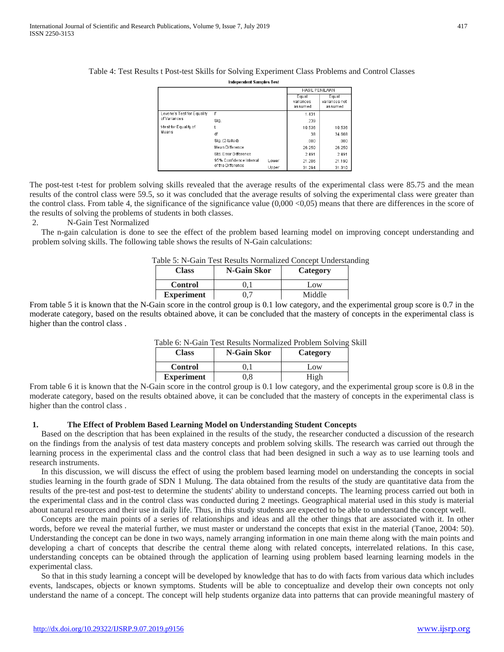|--|

## Table 4: Test Results t Post-test Skills for Solving Experiment Class Problems and Control Classes

Indenendent Samples Test

|                                 |                         |       | <b>HASIL PENILAIAN</b>        |                                   |  |
|---------------------------------|-------------------------|-------|-------------------------------|-----------------------------------|--|
|                                 |                         |       | Equal<br>variances<br>assumed | Egual<br>variances not<br>assumed |  |
| Levene's Test for Equality      | F                       |       | 1.431                         |                                   |  |
| of Variances                    | Sig.                    |       | .239                          |                                   |  |
| t-test for Equality of<br>Means |                         |       | 10.536                        | 10.536                            |  |
|                                 | df                      | 38    | 34.668                        |                                   |  |
|                                 | Sig. (2-tailed)         |       | .000                          | .000                              |  |
|                                 | <b>Mean Difference</b>  |       | 26.250                        | 26.250                            |  |
|                                 | Std. Error Difference   |       | 2.491                         | 2.491                             |  |
|                                 | 95% Confidence Interval | Lower | 21.206                        | 21.190                            |  |
|                                 | of the Difference       | Upper | 31.294                        | 31.310                            |  |

The post-test t-test for problem solving skills revealed that the average results of the experimental class were 85.75 and the mean results of the control class were 59.5, so it was concluded that the average results of solving the experimental class were greater than the control class. From table 4, the significance of the significance value (0,000 <0,05) means that there are differences in the score of the results of solving the problems of students in both classes.

2. N-Gain Test Normalized

The n-gain calculation is done to see the effect of the problem based learning model on improving concept understanding and problem solving skills. The following table shows the results of N-Gain calculations:

|                   | abio bi i valili Tost Itosans I tornianzoa concept o hacis |          |
|-------------------|------------------------------------------------------------|----------|
| <b>Class</b>      | N-Gain Skor                                                | Category |
| <b>Control</b>    |                                                            | Low      |
| <b>Experiment</b> | 0.7                                                        | Middle   |

| Table 5: N-Gain Test Results Normalized Concept Understanding |  |  |  |  |  |
|---------------------------------------------------------------|--|--|--|--|--|
|---------------------------------------------------------------|--|--|--|--|--|

From table 5 it is known that the N-Gain score in the control group is 0.1 low category, and the experimental group score is 0.7 in the moderate category, based on the results obtained above, it can be concluded that the mastery of concepts in the experimental class is higher than the control class .

|                   | <u>wole of ite comments in the continual construction of the model</u> |          |  |  |  |  |
|-------------------|------------------------------------------------------------------------|----------|--|--|--|--|
| <b>Class</b>      | N-Gain Skor                                                            | Category |  |  |  |  |
| <b>Control</b>    |                                                                        | Low      |  |  |  |  |
| <b>Experiment</b> | ).8                                                                    | High     |  |  |  |  |

| Table 6: N-Gain Test Results Normalized Problem Solving Skill |  |  |  |  |  |  |  |  |  |
|---------------------------------------------------------------|--|--|--|--|--|--|--|--|--|
|---------------------------------------------------------------|--|--|--|--|--|--|--|--|--|

From table 6 it is known that the N-Gain score in the control group is 0.1 low category, and the experimental group score is 0.8 in the moderate category, based on the results obtained above, it can be concluded that the mastery of concepts in the experimental class is higher than the control class .

### **1. The Effect of Problem Based Learning Model on Understanding Student Concepts**

Based on the description that has been explained in the results of the study, the researcher conducted a discussion of the research on the findings from the analysis of test data mastery concepts and problem solving skills. The research was carried out through the learning process in the experimental class and the control class that had been designed in such a way as to use learning tools and research instruments.

In this discussion, we will discuss the effect of using the problem based learning model on understanding the concepts in social studies learning in the fourth grade of SDN 1 Mulung. The data obtained from the results of the study are quantitative data from the results of the pre-test and post-test to determine the students' ability to understand concepts. The learning process carried out both in the experimental class and in the control class was conducted during 2 meetings. Geographical material used in this study is material about natural resources and their use in daily life. Thus, in this study students are expected to be able to understand the concept well.

Concepts are the main points of a series of relationships and ideas and all the other things that are associated with it. In other words, before we reveal the material further, we must master or understand the concepts that exist in the material (Tanoe, 2004: 50). Understanding the concept can be done in two ways, namely arranging information in one main theme along with the main points and developing a chart of concepts that describe the central theme along with related concepts, interrelated relations. In this case, understanding concepts can be obtained through the application of learning using problem based learning learning models in the experimental class.

So that in this study learning a concept will be developed by knowledge that has to do with facts from various data which includes events, landscapes, objects or known symptoms. Students will be able to conceptualize and develop their own concepts not only understand the name of a concept. The concept will help students organize data into patterns that can provide meaningful mastery of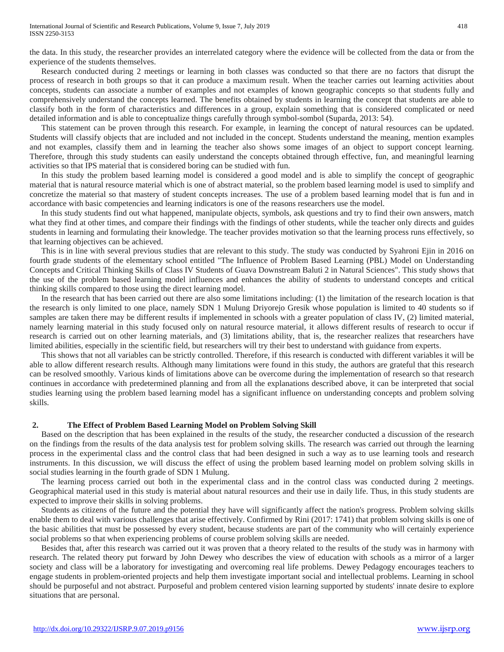the data. In this study, the researcher provides an interrelated category where the evidence will be collected from the data or from the experience of the students themselves.

Research conducted during 2 meetings or learning in both classes was conducted so that there are no factors that disrupt the process of research in both groups so that it can produce a maximum result. When the teacher carries out learning activities about concepts, students can associate a number of examples and not examples of known geographic concepts so that students fully and comprehensively understand the concepts learned. The benefits obtained by students in learning the concept that students are able to classify both in the form of characteristics and differences in a group, explain something that is considered complicated or need detailed information and is able to conceptualize things carefully through symbol-sombol (Suparda, 2013: 54).

This statement can be proven through this research. For example, in learning the concept of natural resources can be updated. Students will classify objects that are included and not included in the concept. Students understand the meaning, mention examples and not examples, classify them and in learning the teacher also shows some images of an object to support concept learning. Therefore, through this study students can easily understand the concepts obtained through effective, fun, and meaningful learning activities so that IPS material that is considered boring can be studied with fun.

In this study the problem based learning model is considered a good model and is able to simplify the concept of geographic material that is natural resource material which is one of abstract material, so the problem based learning model is used to simplify and concretize the material so that mastery of student concepts increases. The use of a problem based learning model that is fun and in accordance with basic competencies and learning indicators is one of the reasons researchers use the model.

In this study students find out what happened, manipulate objects, symbols, ask questions and try to find their own answers, match what they find at other times, and compare their findings with the findings of other students, while the teacher only directs and guides students in learning and formulating their knowledge. The teacher provides motivation so that the learning process runs effectively, so that learning objectives can be achieved.

This is in line with several previous studies that are relevant to this study. The study was conducted by Syahroni Ejin in 2016 on fourth grade students of the elementary school entitled "The Influence of Problem Based Learning (PBL) Model on Understanding Concepts and Critical Thinking Skills of Class IV Students of Guava Downstream Baluti 2 in Natural Sciences". This study shows that the use of the problem based learning model influences and enhances the ability of students to understand concepts and critical thinking skills compared to those using the direct learning model.

In the research that has been carried out there are also some limitations including: (1) the limitation of the research location is that the research is only limited to one place, namely SDN 1 Mulung Driyorejo Gresik whose population is limited to 40 students so if samples are taken there may be different results if implemented in schools with a greater population of class IV, (2) limited material, namely learning material in this study focused only on natural resource material, it allows different results of research to occur if research is carried out on other learning materials, and (3) limitations ability, that is, the researcher realizes that researchers have limited abilities, especially in the scientific field, but researchers will try their best to understand with guidance from experts.

This shows that not all variables can be strictly controlled. Therefore, if this research is conducted with different variables it will be able to allow different research results. Although many limitations were found in this study, the authors are grateful that this research can be resolved smoothly. Various kinds of limitations above can be overcome during the implementation of research so that research continues in accordance with predetermined planning and from all the explanations described above, it can be interpreted that social studies learning using the problem based learning model has a significant influence on understanding concepts and problem solving skills.

## **2. The Effect of Problem Based Learning Model on Problem Solving Skill**

Based on the description that has been explained in the results of the study, the researcher conducted a discussion of the research on the findings from the results of the data analysis test for problem solving skills. The research was carried out through the learning process in the experimental class and the control class that had been designed in such a way as to use learning tools and research instruments. In this discussion, we will discuss the effect of using the problem based learning model on problem solving skills in social studies learning in the fourth grade of SDN 1 Mulung.

The learning process carried out both in the experimental class and in the control class was conducted during 2 meetings. Geographical material used in this study is material about natural resources and their use in daily life. Thus, in this study students are expected to improve their skills in solving problems.

Students as citizens of the future and the potential they have will significantly affect the nation's progress. Problem solving skills enable them to deal with various challenges that arise effectively. Confirmed by Rini (2017: 1741) that problem solving skills is one of the basic abilities that must be possessed by every student, because students are part of the community who will certainly experience social problems so that when experiencing problems of course problem solving skills are needed.

Besides that, after this research was carried out it was proven that a theory related to the results of the study was in harmony with research. The related theory put forward by John Dewey who describes the view of education with schools as a mirror of a larger society and class will be a laboratory for investigating and overcoming real life problems. Dewey Pedagogy encourages teachers to engage students in problem-oriented projects and help them investigate important social and intellectual problems. Learning in school should be purposeful and not abstract. Purposeful and problem centered vision learning supported by students' innate desire to explore situations that are personal.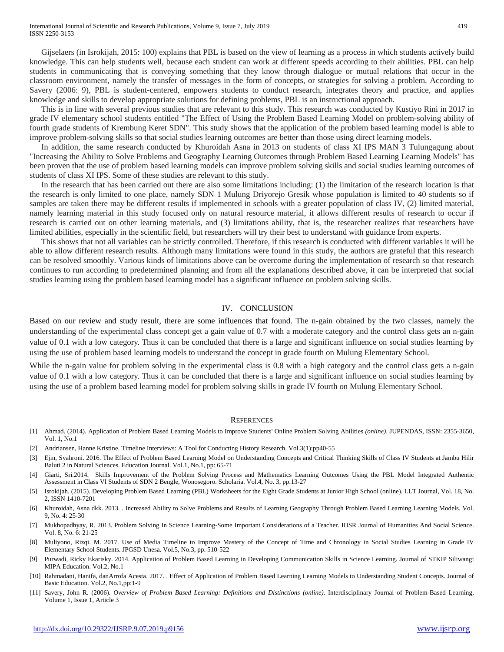Gijselaers (in Isrokijah, 2015: 100) explains that PBL is based on the view of learning as a process in which students actively build knowledge. This can help students well, because each student can work at different speeds according to their abilities. PBL can help students in communicating that is conveying something that they know through dialogue or mutual relations that occur in the classroom environment, namely the transfer of messages in the form of concepts, or strategies for solving a problem. According to Savery (2006: 9), PBL is student-centered, empowers students to conduct research, integrates theory and practice, and applies knowledge and skills to develop appropriate solutions for defining problems, PBL is an instructional approach.

This is in line with several previous studies that are relevant to this study. This research was conducted by Kustiyo Rini in 2017 in grade IV elementary school students entitled "The Effect of Using the Problem Based Learning Model on problem-solving ability of fourth grade students of Krembung Keret SDN". This study shows that the application of the problem based learning model is able to improve problem-solving skills so that social studies learning outcomes are better than those using direct learning models.

In addition, the same research conducted by Khuroidah Asna in 2013 on students of class XI IPS MAN 3 Tulungagung about "Increasing the Ability to Solve Problems and Geography Learning Outcomes through Problem Based Learning Learning Models" has been proven that the use of problem based learning models can improve problem solving skills and social studies learning outcomes of students of class XI IPS. Some of these studies are relevant to this study.

In the research that has been carried out there are also some limitations including: (1) the limitation of the research location is that the research is only limited to one place, namely SDN 1 Mulung Driyorejo Gresik whose population is limited to 40 students so if samples are taken there may be different results if implemented in schools with a greater population of class IV, (2) limited material, namely learning material in this study focused only on natural resource material, it allows different results of research to occur if research is carried out on other learning materials, and (3) limitations ability, that is, the researcher realizes that researchers have limited abilities, especially in the scientific field, but researchers will try their best to understand with guidance from experts.

This shows that not all variables can be strictly controlled. Therefore, if this research is conducted with different variables it will be able to allow different research results. Although many limitations were found in this study, the authors are grateful that this research can be resolved smoothly. Various kinds of limitations above can be overcome during the implementation of research so that research continues to run according to predetermined planning and from all the explanations described above, it can be interpreted that social studies learning using the problem based learning model has a significant influence on problem solving skills.

#### IV. CONCLUSION

Based on our review and study result, there are some influences that found. The n-gain obtained by the two classes, namely the understanding of the experimental class concept get a gain value of 0.7 with a moderate category and the control class gets an n-gain value of 0.1 with a low category. Thus it can be concluded that there is a large and significant influence on social studies learning by using the use of problem based learning models to understand the concept in grade fourth on Mulung Elementary School.

While the n-gain value for problem solving in the experimental class is 0.8 with a high category and the control class gets a n-gain value of 0.1 with a low category. Thus it can be concluded that there is a large and significant influence on social studies learning by using the use of a problem based learning model for problem solving skills in grade IV fourth on Mulung Elementary School.

#### **REFERENCES**

- [1] Ahmad. (2014). Application of Problem Based Learning Models to Improve Students' Online Problem Solving Abilities *(online)*. JUPENDAS, ISSN: 2355-3650, Vol. 1, No.1
- [2] Andriansen, Hanne Kristine. Timeline Interviews: A Tool for Conducting History Research. Vol.3(1):pp40-55
- [3] Ejin, Syahroni. 2016. The Effect of Problem Based Learning Model on Understanding Concepts and Critical Thinking Skills of Class IV Students at Jambu Hilir Baluti 2 in Natural Sciences. Education Journal. Vol.1, No.1, pp: 65-71
- [4] Giarti, Sri.2014. Skills Improvement of the Problem Solving Process and Mathematics Learning Outcomes Using the PBL Model Integrated Authentic Assessment in Class VI Students of SDN 2 Bengle, Wonosegoro. Scholaria. Vol.4, No. 3, pp.13-27
- [5] Isrokijah. (2015). Developing Problem Based Learning (PBL) Worksheets for the Eight Grade Students at Junior High School (online). LLT Journal, Vol. 18, No. 2, ISSN 1410-7201
- [6] Khuroidah, Asna dkk. 2013. . Increased Ability to Solve Problems and Results of Learning Geography Through Problem Based Learning Learning Models. Vol. 9, No. 4: 25-30
- [7] Mukhopadhyay, R. 2013. Problem Solving In Science Learning-Some Important Considerations of a Teacher. IOSR Journal of Humanities And Social Science. Vol. 8, No. 6: 21-25
- [8] Muliyono, Rizqi. M. 2017. Use of Media Timeline to Improve Mastery of the Concept of Time and Chronology in Social Studies Learning in Grade IV Elementary School Students. JPGSD Unesa. Vol.5, No.3, pp. 510-522
- [9] Purwadi, Ricky Ekarisky. 2014. Application of Problem Based Learning in Developing Communication Skills in Science Learning. Journal of STKIP Siliwangi MIPA Education. Vol.2, No.1
- [10] Rahmadani, Hanifa, danArrofa Acesta. 2017. . Effect of Application of Problem Based Learning Learning Models to Understanding Student Concepts. Journal of Basic Education. Vol.2, No.1,pp:1-9
- [11] Savery, John R. (2006). *Overview of Problem Based Learning: Definitions and Distinctions (online)*. Interdisciplinary Journal of Problem-Based Learning, Volume 1, Issue 1, Article 3